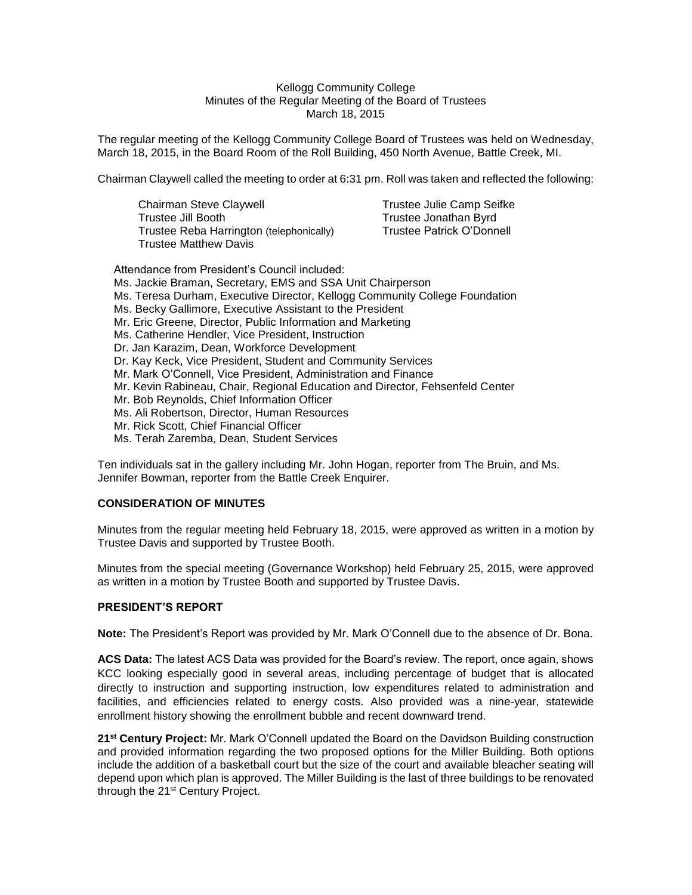#### Kellogg Community College Minutes of the Regular Meeting of the Board of Trustees March 18, 2015

The regular meeting of the Kellogg Community College Board of Trustees was held on Wednesday, March 18, 2015, in the Board Room of the Roll Building, 450 North Avenue, Battle Creek, MI.

Chairman Claywell called the meeting to order at 6:31 pm. Roll was taken and reflected the following:

| Chairman Steve Claywell                  | <b>Trustee Julie Camp Seifke</b> |
|------------------------------------------|----------------------------------|
| Trustee Jill Booth                       | Trustee Jonathan Byrd            |
| Trustee Reba Harrington (telephonically) | Trustee Patrick O'Donnell        |
| <b>Trustee Matthew Davis</b>             |                                  |

Attendance from President's Council included: Ms. Jackie Braman, Secretary, EMS and SSA Unit Chairperson Ms. Teresa Durham, Executive Director, Kellogg Community College Foundation Ms. Becky Gallimore, Executive Assistant to the President Mr. Eric Greene, Director, Public Information and Marketing Ms. Catherine Hendler, Vice President, Instruction Dr. Jan Karazim, Dean, Workforce Development Dr. Kay Keck, Vice President, Student and Community Services Mr. Mark O'Connell, Vice President, Administration and Finance Mr. Kevin Rabineau, Chair, Regional Education and Director, Fehsenfeld Center Mr. Bob Reynolds, Chief Information Officer Ms. Ali Robertson, Director, Human Resources Mr. Rick Scott, Chief Financial Officer Ms. Terah Zaremba, Dean, Student Services

Ten individuals sat in the gallery including Mr. John Hogan, reporter from The Bruin, and Ms. Jennifer Bowman, reporter from the Battle Creek Enquirer.

# **CONSIDERATION OF MINUTES**

Minutes from the regular meeting held February 18, 2015, were approved as written in a motion by Trustee Davis and supported by Trustee Booth.

Minutes from the special meeting (Governance Workshop) held February 25, 2015, were approved as written in a motion by Trustee Booth and supported by Trustee Davis.

#### **PRESIDENT'S REPORT**

**Note:** The President's Report was provided by Mr. Mark O'Connell due to the absence of Dr. Bona.

**ACS Data:** The latest ACS Data was provided for the Board's review. The report, once again, shows KCC looking especially good in several areas, including percentage of budget that is allocated directly to instruction and supporting instruction, low expenditures related to administration and facilities, and efficiencies related to energy costs. Also provided was a nine-year, statewide enrollment history showing the enrollment bubble and recent downward trend.

**21 st Century Project:** Mr. Mark O'Connell updated the Board on the Davidson Building construction and provided information regarding the two proposed options for the Miller Building. Both options include the addition of a basketball court but the size of the court and available bleacher seating will depend upon which plan is approved. The Miller Building is the last of three buildings to be renovated through the 21<sup>st</sup> Century Project.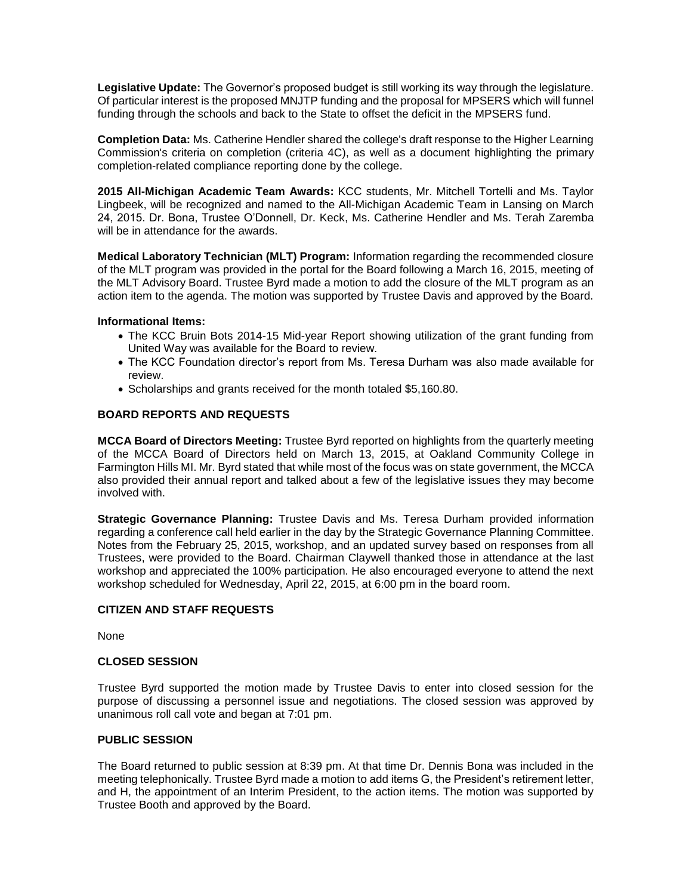**Legislative Update:** The Governor's proposed budget is still working its way through the legislature. Of particular interest is the proposed MNJTP funding and the proposal for MPSERS which will funnel funding through the schools and back to the State to offset the deficit in the MPSERS fund.

**Completion Data:** Ms. Catherine Hendler shared the college's draft response to the Higher Learning Commission's criteria on completion (criteria 4C), as well as a document highlighting the primary completion-related compliance reporting done by the college.

**2015 All-Michigan Academic Team Awards:** KCC students, Mr. Mitchell Tortelli and Ms. Taylor Lingbeek, will be recognized and named to the All-Michigan Academic Team in Lansing on March 24, 2015. Dr. Bona, Trustee O'Donnell, Dr. Keck, Ms. Catherine Hendler and Ms. Terah Zaremba will be in attendance for the awards.

**Medical Laboratory Technician (MLT) Program:** Information regarding the recommended closure of the MLT program was provided in the portal for the Board following a March 16, 2015, meeting of the MLT Advisory Board. Trustee Byrd made a motion to add the closure of the MLT program as an action item to the agenda. The motion was supported by Trustee Davis and approved by the Board.

### **Informational Items:**

- The KCC Bruin Bots 2014-15 Mid-year Report showing utilization of the grant funding from United Way was available for the Board to review.
- The KCC Foundation director's report from Ms. Teresa Durham was also made available for review.
- Scholarships and grants received for the month totaled \$5,160.80.

### **BOARD REPORTS AND REQUESTS**

**MCCA Board of Directors Meeting:** Trustee Byrd reported on highlights from the quarterly meeting of the MCCA Board of Directors held on March 13, 2015, at Oakland Community College in Farmington Hills MI. Mr. Byrd stated that while most of the focus was on state government, the MCCA also provided their annual report and talked about a few of the legislative issues they may become involved with.

**Strategic Governance Planning:** Trustee Davis and Ms. Teresa Durham provided information regarding a conference call held earlier in the day by the Strategic Governance Planning Committee. Notes from the February 25, 2015, workshop, and an updated survey based on responses from all Trustees, were provided to the Board. Chairman Claywell thanked those in attendance at the last workshop and appreciated the 100% participation. He also encouraged everyone to attend the next workshop scheduled for Wednesday, April 22, 2015, at 6:00 pm in the board room.

### **CITIZEN AND STAFF REQUESTS**

None

### **CLOSED SESSION**

Trustee Byrd supported the motion made by Trustee Davis to enter into closed session for the purpose of discussing a personnel issue and negotiations. The closed session was approved by unanimous roll call vote and began at 7:01 pm.

# **PUBLIC SESSION**

The Board returned to public session at 8:39 pm. At that time Dr. Dennis Bona was included in the meeting telephonically. Trustee Byrd made a motion to add items G, the President's retirement letter, and H, the appointment of an Interim President, to the action items. The motion was supported by Trustee Booth and approved by the Board.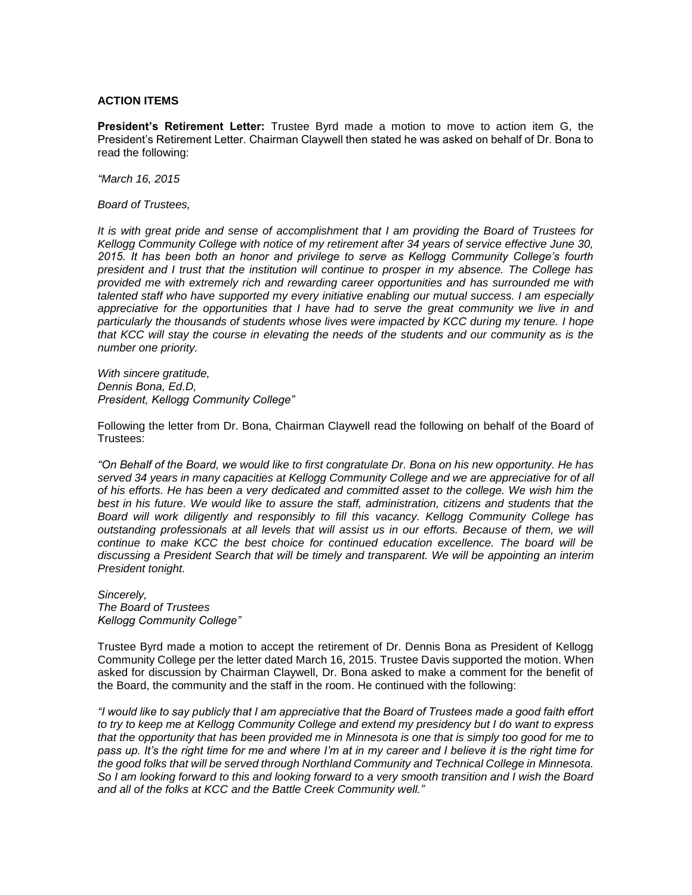#### **ACTION ITEMS**

**President's Retirement Letter:** Trustee Byrd made a motion to move to action item G, the President's Retirement Letter. Chairman Claywell then stated he was asked on behalf of Dr. Bona to read the following:

*"March 16, 2015*

*Board of Trustees,* 

*It is with great pride and sense of accomplishment that I am providing the Board of Trustees for Kellogg Community College with notice of my retirement after 34 years of service effective June 30, 2015. It has been both an honor and privilege to serve as Kellogg Community College's fourth president and I trust that the institution will continue to prosper in my absence. The College has provided me with extremely rich and rewarding career opportunities and has surrounded me with talented staff who have supported my every initiative enabling our mutual success. I am especially appreciative for the opportunities that I have had to serve the great community we live in and particularly the thousands of students whose lives were impacted by KCC during my tenure. I hope that KCC will stay the course in elevating the needs of the students and our community as is the number one priority.* 

*With sincere gratitude, Dennis Bona, Ed.D, President, Kellogg Community College"* 

Following the letter from Dr. Bona, Chairman Claywell read the following on behalf of the Board of Trustees:

*"On Behalf of the Board, we would like to first congratulate Dr. Bona on his new opportunity. He has served 34 years in many capacities at Kellogg Community College and we are appreciative for of all of his efforts. He has been a very dedicated and committed asset to the college. We wish him the best in his future. We would like to assure the staff, administration, citizens and students that the Board will work diligently and responsibly to fill this vacancy. Kellogg Community College has outstanding professionals at all levels that will assist us in our efforts. Because of them, we will continue to make KCC the best choice for continued education excellence. The board will be discussing a President Search that will be timely and transparent. We will be appointing an interim President tonight.* 

*Sincerely, The Board of Trustees Kellogg Community College"*

Trustee Byrd made a motion to accept the retirement of Dr. Dennis Bona as President of Kellogg Community College per the letter dated March 16, 2015. Trustee Davis supported the motion. When asked for discussion by Chairman Claywell, Dr. Bona asked to make a comment for the benefit of the Board, the community and the staff in the room. He continued with the following:

*"I would like to say publicly that I am appreciative that the Board of Trustees made a good faith effort to try to keep me at Kellogg Community College and extend my presidency but I do want to express that the opportunity that has been provided me in Minnesota is one that is simply too good for me to pass up. It's the right time for me and where I'm at in my career and I believe it is the right time for the good folks that will be served through Northland Community and Technical College in Minnesota. So I am looking forward to this and looking forward to a very smooth transition and I wish the Board and all of the folks at KCC and the Battle Creek Community well."*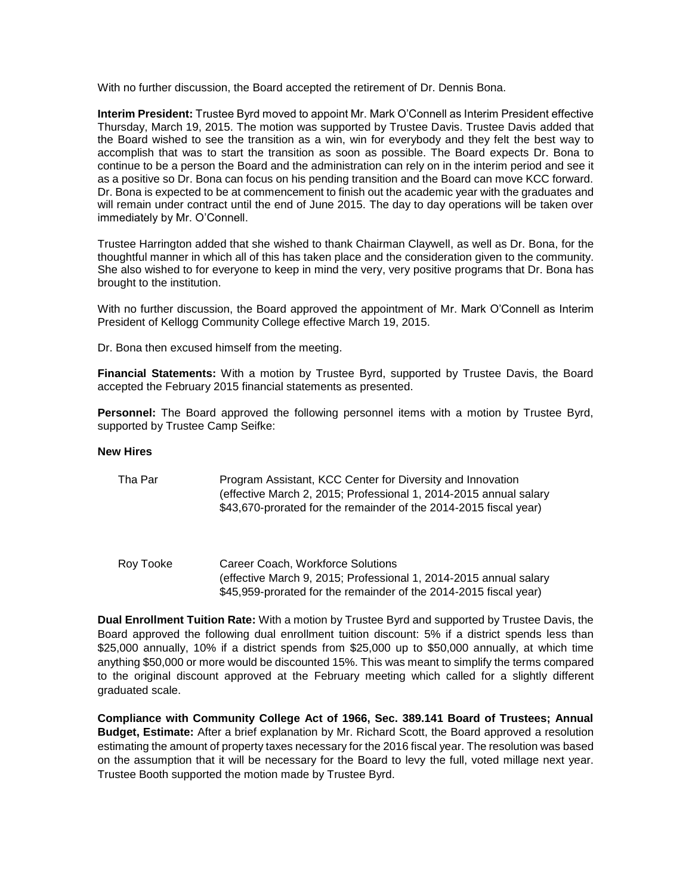With no further discussion, the Board accepted the retirement of Dr. Dennis Bona.

**Interim President:** Trustee Byrd moved to appoint Mr. Mark O'Connell as Interim President effective Thursday, March 19, 2015. The motion was supported by Trustee Davis. Trustee Davis added that the Board wished to see the transition as a win, win for everybody and they felt the best way to accomplish that was to start the transition as soon as possible. The Board expects Dr. Bona to continue to be a person the Board and the administration can rely on in the interim period and see it as a positive so Dr. Bona can focus on his pending transition and the Board can move KCC forward. Dr. Bona is expected to be at commencement to finish out the academic year with the graduates and will remain under contract until the end of June 2015. The day to day operations will be taken over immediately by Mr. O'Connell.

Trustee Harrington added that she wished to thank Chairman Claywell, as well as Dr. Bona, for the thoughtful manner in which all of this has taken place and the consideration given to the community. She also wished to for everyone to keep in mind the very, very positive programs that Dr. Bona has brought to the institution.

With no further discussion, the Board approved the appointment of Mr. Mark O'Connell as Interim President of Kellogg Community College effective March 19, 2015.

Dr. Bona then excused himself from the meeting.

**Financial Statements:** With a motion by Trustee Byrd, supported by Trustee Davis, the Board accepted the February 2015 financial statements as presented.

**Personnel:** The Board approved the following personnel items with a motion by Trustee Byrd, supported by Trustee Camp Seifke:

#### **New Hires**

| Tha Par   | Program Assistant, KCC Center for Diversity and Innovation<br>(effective March 2, 2015; Professional 1, 2014-2015 annual salary<br>\$43,670-prorated for the remainder of the 2014-2015 fiscal year) |
|-----------|------------------------------------------------------------------------------------------------------------------------------------------------------------------------------------------------------|
| Roy Tooke | Career Coach, Workforce Solutions<br>$\alpha$ offective March 0, 2015; Drefessional 1, 2014, 2015 appual solary                                                                                      |

(effective March 9, 2015; Professional 1, 2014-2015 annual salary \$45,959-prorated for the remainder of the 2014-2015 fiscal year)

**Dual Enrollment Tuition Rate:** With a motion by Trustee Byrd and supported by Trustee Davis, the Board approved the following dual enrollment tuition discount: 5% if a district spends less than \$25,000 annually, 10% if a district spends from \$25,000 up to \$50,000 annually, at which time anything \$50,000 or more would be discounted 15%. This was meant to simplify the terms compared to the original discount approved at the February meeting which called for a slightly different graduated scale.

**Compliance with Community College Act of 1966, Sec. 389.141 Board of Trustees; Annual Budget, Estimate:** After a brief explanation by Mr. Richard Scott, the Board approved a resolution estimating the amount of property taxes necessary for the 2016 fiscal year. The resolution was based on the assumption that it will be necessary for the Board to levy the full, voted millage next year. Trustee Booth supported the motion made by Trustee Byrd.